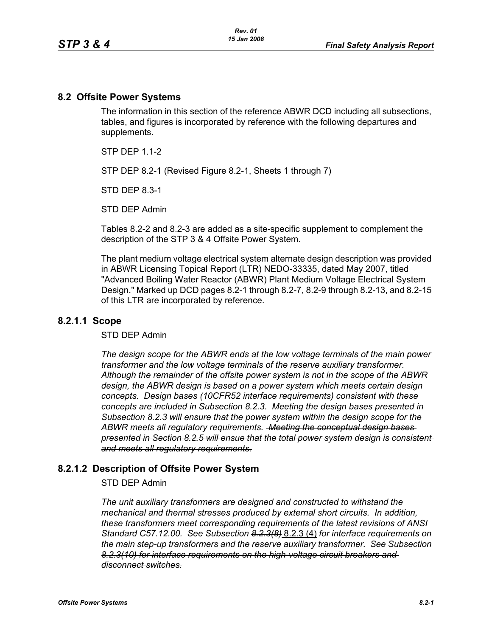### **8.2 Offsite Power Systems**

The information in this section of the reference ABWR DCD including all subsections, tables, and figures is incorporated by reference with the following departures and supplements.

 $STP$  DFP 11-2

STP DEP 8.2-1 (Revised Figure 8.2-1, Sheets 1 through 7)

STD DEP 8.3-1

STD DEP Admin

Tables 8.2-2 and 8.2-3 are added as a site-specific supplement to complement the description of the STP 3 & 4 Offsite Power System.

The plant medium voltage electrical system alternate design description was provided in ABWR Licensing Topical Report (LTR) NEDO-33335, dated May 2007, titled "Advanced Boiling Water Reactor (ABWR) Plant Medium Voltage Electrical System Design." Marked up DCD pages 8.2-1 through 8.2-7, 8.2-9 through 8.2-13, and 8.2-15 of this LTR are incorporated by reference.

### **8.2.1.1 Scope**

#### STD DEP Admin

*The design scope for the ABWR ends at the low voltage terminals of the main power transformer and the low voltage terminals of the reserve auxiliary transformer. Although the remainder of the offsite power system is not in the scope of the ABWR design, the ABWR design is based on a power system which meets certain design concepts. Design bases (10CFR52 interface requirements) consistent with these concepts are included in Subsection 8.2.3. Meeting the design bases presented in Subsection 8.2.3 will ensure that the power system within the design scope for the ABWR meets all regulatory requirements. Meeting the conceptual design bases presented in Section 8.2.5 will ensue that the total power system design is consistent and meets all regulatory requirements.*

### **8.2.1.2 Description of Offsite Power System**

#### STD DEP Admin

*The unit auxiliary transformers are designed and constructed to withstand the mechanical and thermal stresses produced by external short circuits. In addition, these transformers meet corresponding requirements of the latest revisions of ANSI Standard C57.12.00. See Subsection 8.2.3(8)* 8.2.3 (4) *for interface requirements on the main step-up transformers and the reserve auxiliary transformer. See Subsection 8.2.3(10) for interface requirements on the high-voltage circuit breakers and disconnect switches.*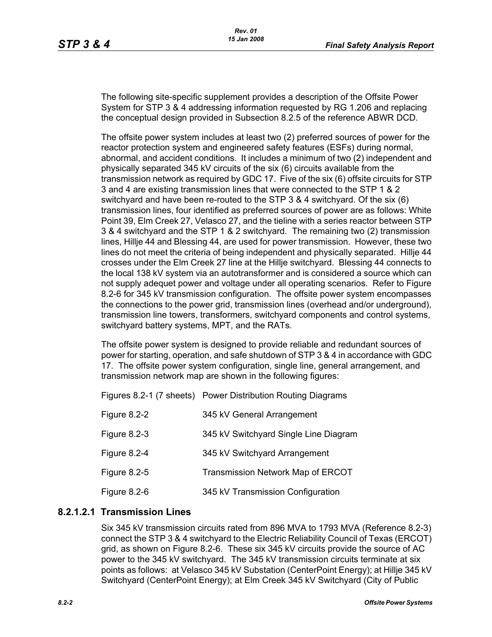The following site-specific supplement provides a description of the Offsite Power System for STP 3 & 4 addressing information requested by RG 1.206 and replacing the conceptual design provided in Subsection 8.2.5 of the reference ABWR DCD.

The offsite power system includes at least two (2) preferred sources of power for the reactor protection system and engineered safety features (ESFs) during normal, abnormal, and accident conditions. It includes a minimum of two (2) independent and physically separated 345 kV circuits of the six (6) circuits available from the transmission network as required by GDC 17. Five of the six (6) offsite circuits for STP 3 and 4 are existing transmission lines that were connected to the STP 1 & 2 switchyard and have been re-routed to the STP 3 & 4 switchyard. Of the six (6) transmission lines, four identified as preferred sources of power are as follows: White Point 39, Elm Creek 27, Velasco 27, and the tieline with a series reactor between STP 3 & 4 switchyard and the STP 1 & 2 switchyard. The remaining two (2) transmission lines, Hillje 44 and Blessing 44, are used for power transmission. However, these two lines do not meet the criteria of being independent and physically separated. Hillje 44 crosses under the Elm Creek 27 line at the Hillje switchyard. Blessing 44 connects to the local 138 kV system via an autotransformer and is considered a source which can not supply adequet power and voltage under all operating scenarios. Refer to Figure 8.2-6 for 345 kV transmission configuration. The offsite power system encompasses the connections to the power grid, transmission lines (overhead and/or underground), transmission line towers, transformers, switchyard components and control systems, switchyard battery systems, MPT, and the RATs.

The offsite power system is designed to provide reliable and redundant sources of power for starting, operation, and safe shutdown of STP 3 & 4 in accordance with GDC 17. The offsite power system configuration, single line, general arrangement, and transmission network map are shown in the following figures:

Figures 8.2-1 (7 sheets) Power Distribution Routing Diagrams

| Figure 8.2-2 | 345 kV General Arrangement            |
|--------------|---------------------------------------|
| Figure 8.2-3 | 345 kV Switchyard Single Line Diagram |
| Figure 8.2-4 | 345 kV Switchyard Arrangement         |
| Figure 8.2-5 | Transmission Network Map of ERCOT     |
| Figure 8.2-6 | 345 kV Transmission Configuration     |

# **8.2.1.2.1 Transmission Lines**

Six 345 kV transmission circuits rated from 896 MVA to 1793 MVA (Reference 8.2-3) connect the STP 3 & 4 switchyard to the Electric Reliability Council of Texas (ERCOT) grid, as shown on Figure 8.2-6. These six 345 kV circuits provide the source of AC power to the 345 kV switchyard. The 345 kV transmission circuits terminate at six points as follows: at Velasco 345 kV Substation (CenterPoint Energy); at Hillje 345 kV Switchyard (CenterPoint Energy); at Elm Creek 345 kV Switchyard (City of Public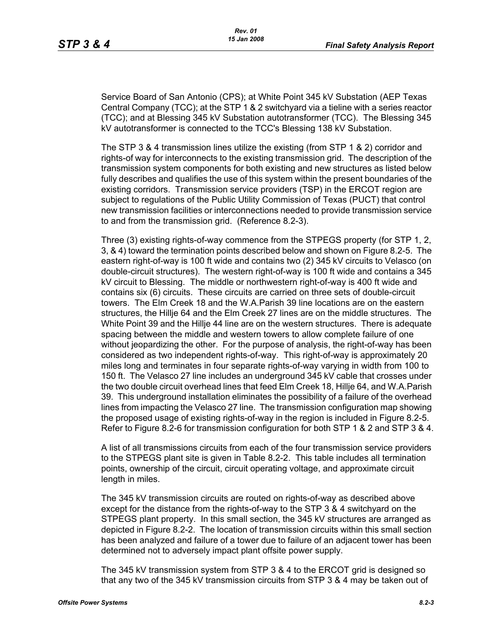Service Board of San Antonio (CPS); at White Point 345 kV Substation (AEP Texas Central Company (TCC); at the STP 1 & 2 switchyard via a tieline with a series reactor (TCC); and at Blessing 345 kV Substation autotransformer (TCC). The Blessing 345 kV autotransformer is connected to the TCC's Blessing 138 kV Substation.

The STP 3 & 4 transmission lines utilize the existing (from STP 1 & 2) corridor and rights-of way for interconnects to the existing transmission grid. The description of the transmission system components for both existing and new structures as listed below fully describes and qualifies the use of this system within the present boundaries of the existing corridors. Transmission service providers (TSP) in the ERCOT region are subject to regulations of the Public Utility Commission of Texas (PUCT) that control new transmission facilities or interconnections needed to provide transmission service to and from the transmission grid. (Reference 8.2-3).

Three (3) existing rights-of-way commence from the STPEGS property (for STP 1, 2, 3, & 4) toward the termination points described below and shown on Figure 8.2-5. The eastern right-of-way is 100 ft wide and contains two (2) 345 kV circuits to Velasco (on double-circuit structures). The western right-of-way is 100 ft wide and contains a 345 kV circuit to Blessing. The middle or northwestern right-of-way is 400 ft wide and contains six (6) circuits. These circuits are carried on three sets of double-circuit towers. The Elm Creek 18 and the W.A.Parish 39 line locations are on the eastern structures, the Hillje 64 and the Elm Creek 27 lines are on the middle structures. The White Point 39 and the Hillje 44 line are on the western structures. There is adequate spacing between the middle and western towers to allow complete failure of one without jeopardizing the other. For the purpose of analysis, the right-of-way has been considered as two independent rights-of-way. This right-of-way is approximately 20 miles long and terminates in four separate rights-of-way varying in width from 100 to 150 ft. The Velasco 27 line includes an underground 345 kV cable that crosses under the two double circuit overhead lines that feed Elm Creek 18, Hillje 64, and W.A.Parish 39. This underground installation eliminates the possibility of a failure of the overhead lines from impacting the Velasco 27 line. The transmission configuration map showing the proposed usage of existing rights-of-way in the region is included in Figure 8.2-5. Refer to Figure 8.2-6 for transmission configuration for both STP 1 & 2 and STP 3 & 4.

A list of all transmissions circuits from each of the four transmission service providers to the STPEGS plant site is given in Table 8.2-2. This table includes all termination points, ownership of the circuit, circuit operating voltage, and approximate circuit length in miles.

The 345 kV transmission circuits are routed on rights-of-way as described above except for the distance from the rights-of-way to the STP 3 & 4 switchyard on the STPEGS plant property. In this small section, the 345 kV structures are arranged as depicted in Figure 8.2-2. The location of transmission circuits within this small section has been analyzed and failure of a tower due to failure of an adjacent tower has been determined not to adversely impact plant offsite power supply.

The 345 kV transmission system from STP 3 & 4 to the ERCOT grid is designed so that any two of the 345 kV transmission circuits from STP 3 & 4 may be taken out of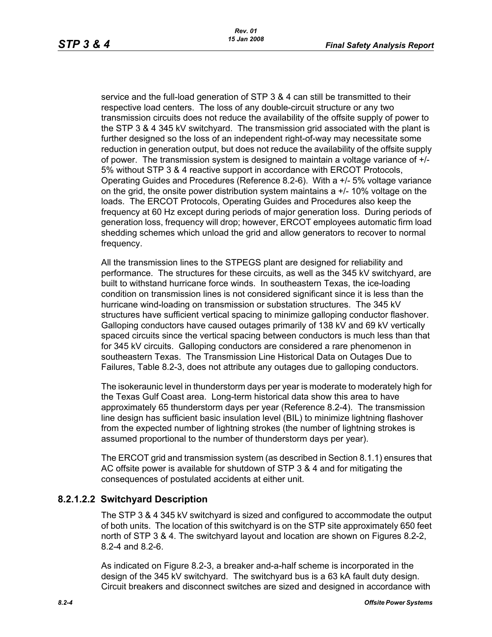service and the full-load generation of STP 3 & 4 can still be transmitted to their respective load centers. The loss of any double-circuit structure or any two transmission circuits does not reduce the availability of the offsite supply of power to the STP 3 & 4 345 kV switchyard. The transmission grid associated with the plant is further designed so the loss of an independent right-of-way may necessitate some reduction in generation output, but does not reduce the availability of the offsite supply of power. The transmission system is designed to maintain a voltage variance of +/- 5% without STP 3 & 4 reactive support in accordance with ERCOT Protocols, Operating Guides and Procedures (Reference 8.2-6). With a +/- 5% voltage variance on the grid, the onsite power distribution system maintains  $a +/10\%$  voltage on the loads. The ERCOT Protocols, Operating Guides and Procedures also keep the frequency at 60 Hz except during periods of major generation loss. During periods of generation loss, frequency will drop; however, ERCOT employees automatic firm load shedding schemes which unload the grid and allow generators to recover to normal frequency.

All the transmission lines to the STPEGS plant are designed for reliability and performance. The structures for these circuits, as well as the 345 kV switchyard, are built to withstand hurricane force winds. In southeastern Texas, the ice-loading condition on transmission lines is not considered significant since it is less than the hurricane wind-loading on transmission or substation structures. The 345 kV structures have sufficient vertical spacing to minimize galloping conductor flashover. Galloping conductors have caused outages primarily of 138 kV and 69 kV vertically spaced circuits since the vertical spacing between conductors is much less than that for 345 kV circuits. Galloping conductors are considered a rare phenomenon in southeastern Texas. The Transmission Line Historical Data on Outages Due to Failures, Table 8.2-3, does not attribute any outages due to galloping conductors.

The isokeraunic level in thunderstorm days per year is moderate to moderately high for the Texas Gulf Coast area. Long-term historical data show this area to have approximately 65 thunderstorm days per year (Reference 8.2-4). The transmission line design has sufficient basic insulation level (BIL) to minimize lightning flashover from the expected number of lightning strokes (the number of lightning strokes is assumed proportional to the number of thunderstorm days per year).

The ERCOT grid and transmission system (as described in Section 8.1.1) ensures that AC offsite power is available for shutdown of STP 3 & 4 and for mitigating the consequences of postulated accidents at either unit.

# **8.2.1.2.2 Switchyard Description**

The STP 3 & 4 345 kV switchyard is sized and configured to accommodate the output of both units. The location of this switchyard is on the STP site approximately 650 feet north of STP 3 & 4. The switchyard layout and location are shown on Figures 8.2-2, 8.2-4 and 8.2-6.

As indicated on Figure 8.2-3, a breaker and-a-half scheme is incorporated in the design of the 345 kV switchyard. The switchyard bus is a 63 kA fault duty design. Circuit breakers and disconnect switches are sized and designed in accordance with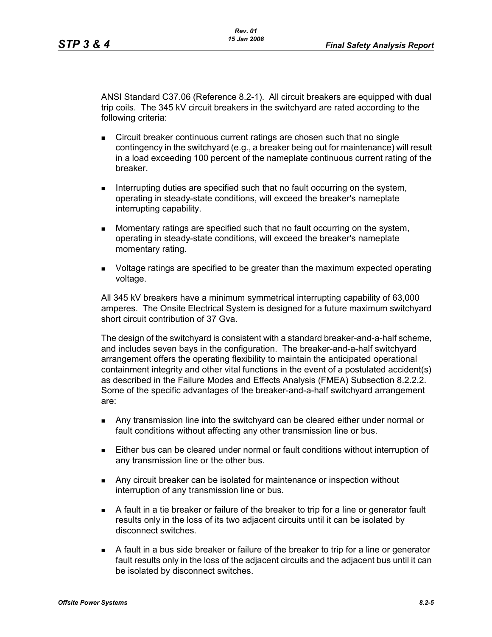ANSI Standard C37.06 (Reference 8.2-1). All circuit breakers are equipped with dual trip coils. The 345 kV circuit breakers in the switchyard are rated according to the following criteria:

- **Circuit breaker continuous current ratings are chosen such that no single** contingency in the switchyard (e.g., a breaker being out for maintenance) will result in a load exceeding 100 percent of the nameplate continuous current rating of the breaker.
- Interrupting duties are specified such that no fault occurring on the system, operating in steady-state conditions, will exceed the breaker's nameplate interrupting capability.
- Momentary ratings are specified such that no fault occurring on the system, operating in steady-state conditions, will exceed the breaker's nameplate momentary rating.
- **DED** Voltage ratings are specified to be greater than the maximum expected operating voltage.

All 345 kV breakers have a minimum symmetrical interrupting capability of 63,000 amperes. The Onsite Electrical System is designed for a future maximum switchyard short circuit contribution of 37 Gva.

The design of the switchyard is consistent with a standard breaker-and-a-half scheme, and includes seven bays in the configuration. The breaker-and-a-half switchyard arrangement offers the operating flexibility to maintain the anticipated operational containment integrity and other vital functions in the event of a postulated accident(s) as described in the Failure Modes and Effects Analysis (FMEA) Subsection 8.2.2.2. Some of the specific advantages of the breaker-and-a-half switchyard arrangement are:

- Any transmission line into the switchyard can be cleared either under normal or fault conditions without affecting any other transmission line or bus.
- Either bus can be cleared under normal or fault conditions without interruption of any transmission line or the other bus.
- Any circuit breaker can be isolated for maintenance or inspection without interruption of any transmission line or bus.
- A fault in a tie breaker or failure of the breaker to trip for a line or generator fault results only in the loss of its two adjacent circuits until it can be isolated by disconnect switches.
- A fault in a bus side breaker or failure of the breaker to trip for a line or generator fault results only in the loss of the adjacent circuits and the adjacent bus until it can be isolated by disconnect switches.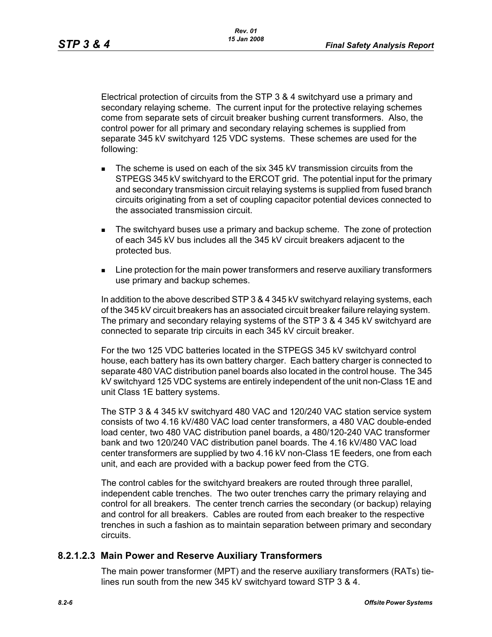Electrical protection of circuits from the STP 3 & 4 switchyard use a primary and secondary relaying scheme. The current input for the protective relaying schemes come from separate sets of circuit breaker bushing current transformers. Also, the control power for all primary and secondary relaying schemes is supplied from separate 345 kV switchyard 125 VDC systems. These schemes are used for the following:

- The scheme is used on each of the six 345 kV transmission circuits from the STPEGS 345 kV switchyard to the ERCOT grid. The potential input for the primary and secondary transmission circuit relaying systems is supplied from fused branch circuits originating from a set of coupling capacitor potential devices connected to the associated transmission circuit.
- The switchyard buses use a primary and backup scheme. The zone of protection of each 345 kV bus includes all the 345 kV circuit breakers adjacent to the protected bus.
- **EXECT** Line protection for the main power transformers and reserve auxiliary transformers use primary and backup schemes.

In addition to the above described STP 3 & 4 345 kV switchyard relaying systems, each of the 345 kV circuit breakers has an associated circuit breaker failure relaying system. The primary and secondary relaying systems of the STP 3 & 4 345 kV switchyard are connected to separate trip circuits in each 345 kV circuit breaker.

For the two 125 VDC batteries located in the STPEGS 345 kV switchyard control house, each battery has its own battery charger. Each battery charger is connected to separate 480 VAC distribution panel boards also located in the control house. The 345 kV switchyard 125 VDC systems are entirely independent of the unit non-Class 1E and unit Class 1E battery systems.

The STP 3 & 4 345 kV switchyard 480 VAC and 120/240 VAC station service system consists of two 4.16 kV/480 VAC load center transformers, a 480 VAC double-ended load center, two 480 VAC distribution panel boards, a 480/120-240 VAC transformer bank and two 120/240 VAC distribution panel boards. The 4.16 kV/480 VAC load center transformers are supplied by two 4.16 kV non-Class 1E feeders, one from each unit, and each are provided with a backup power feed from the CTG.

The control cables for the switchyard breakers are routed through three parallel, independent cable trenches. The two outer trenches carry the primary relaying and control for all breakers. The center trench carries the secondary (or backup) relaying and control for all breakers. Cables are routed from each breaker to the respective trenches in such a fashion as to maintain separation between primary and secondary circuits.

# **8.2.1.2.3 Main Power and Reserve Auxiliary Transformers**

The main power transformer (MPT) and the reserve auxiliary transformers (RATs) tielines run south from the new 345 kV switchyard toward STP 3 & 4.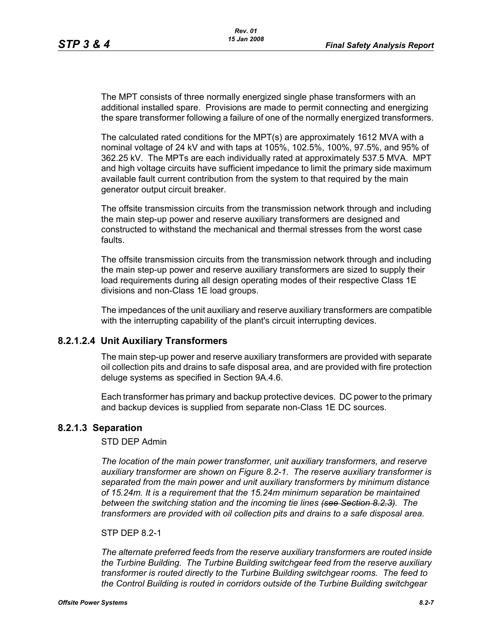The MPT consists of three normally energized single phase transformers with an additional installed spare. Provisions are made to permit connecting and energizing the spare transformer following a failure of one of the normally energized transformers.

The calculated rated conditions for the MPT(s) are approximately 1612 MVA with a nominal voltage of 24 kV and with taps at 105%, 102.5%, 100%, 97.5%, and 95% of 362.25 kV. The MPTs are each individually rated at approximately 537.5 MVA. MPT and high voltage circuits have sufficient impedance to limit the primary side maximum available fault current contribution from the system to that required by the main generator output circuit breaker.

The offsite transmission circuits from the transmission network through and including the main step-up power and reserve auxiliary transformers are designed and constructed to withstand the mechanical and thermal stresses from the worst case faults.

The offsite transmission circuits from the transmission network through and including the main step-up power and reserve auxiliary transformers are sized to supply their load requirements during all design operating modes of their respective Class 1E divisions and non-Class 1E load groups.

The impedances of the unit auxiliary and reserve auxiliary transformers are compatible with the interrupting capability of the plant's circuit interrupting devices.

### **8.2.1.2.4 Unit Auxiliary Transformers**

The main step-up power and reserve auxiliary transformers are provided with separate oil collection pits and drains to safe disposal area, and are provided with fire protection deluge systems as specified in Section 9A.4.6.

Each transformer has primary and backup protective devices. DC power to the primary and backup devices is supplied from separate non-Class 1E DC sources.

#### **8.2.1.3 Separation**

#### STD DEP Admin

*The location of the main power transformer, unit auxiliary transformers, and reserve auxiliary transformer are shown on Figure 8.2-1. The reserve auxiliary transformer is separated from the main power and unit auxiliary transformers by minimum distance of 15.24m. It is a requirement that the 15.24m minimum separation be maintained between the switching station and the incoming tie lines (see Section 8.2.3). The transformers are provided with oil collection pits and drains to a safe disposal area.*

#### STP DFP 82-1

*The alternate preferred feeds from the reserve auxiliary transformers are routed inside the Turbine Building. The Turbine Building switchgear feed from the reserve auxiliary transformer is routed directly to the Turbine Building switchgear rooms. The feed to the Control Building is routed in corridors outside of the Turbine Building switchgear*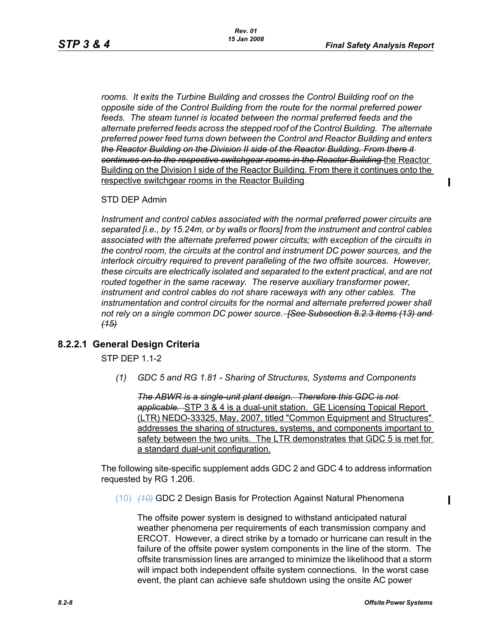$\mathbf I$ 

Π

*rooms. It exits the Turbine Building and crosses the Control Building roof on the opposite side of the Control Building from the route for the normal preferred power*  feeds. The steam tunnel is located between the normal preferred feeds and the *alternate preferred feeds across the stepped roof of the Control Building. The alternate preferred power feed turns down between the Control and Reactor Building and enters the Reactor Building on the Division II side of the Reactor Building. From there it continues on to the respective switchgear rooms in the Reactor Building* the Reactor Building on the Division I side of the Reactor Building. From there it continues onto the respective switchgear rooms in the Reactor Building.

STD DEP Admin

*Instrument and control cables associated with the normal preferred power circuits are separated [i.e., by 15.24m, or by walls or floors] from the instrument and control cables associated with the alternate preferred power circuits; with exception of the circuits in the control room, the circuits at the control and instrument DC power sources, and the interlock circuitry required to prevent paralleling of the two offsite sources. However, these circuits are electrically isolated and separated to the extent practical, and are not routed together in the same raceway. The reserve auxiliary transformer power, instrument and control cables do not share raceways with any other cables. The instrumentation and control circuits for the normal and alternate preferred power shall not rely on a single common DC power source. [See Subsection 8.2.3 items (13) and (15)*

### **8.2.2.1 General Design Criteria**

STP DEP 1.1-2

*(1) GDC 5 and RG 1.81 - Sharing of Structures, Systems and Components*

*The ABWR is a single-unit plant design. Therefore this GDC is not applicable.* STP 3 & 4 is a dual-unit station. GE Licensing Topical Report (LTR) NEDO-33325, May, 2007, titled "Common Equipment and Structures" addresses the sharing of structures, systems, and components important to safety between the two units. The LTR demonstrates that GDC 5 is met for a standard dual-unit configuration.

The following site-specific supplement adds GDC 2 and GDC 4 to address information requested by RG 1.206.

(10) *(10)* GDC 2 Design Basis for Protection Against Natural Phenomena

The offsite power system is designed to withstand anticipated natural weather phenomena per requirements of each transmission company and ERCOT. However, a direct strike by a tornado or hurricane can result in the failure of the offsite power system components in the line of the storm. The offsite transmission lines are arranged to minimize the likelihood that a storm will impact both independent offsite system connections. In the worst case event, the plant can achieve safe shutdown using the onsite AC power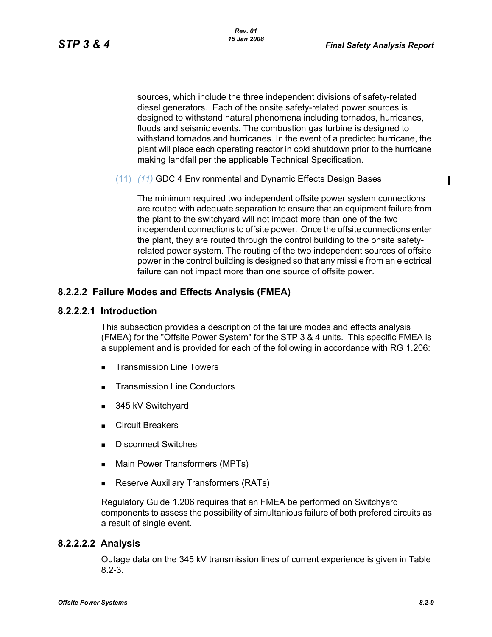$\mathbf I$ 

sources, which include the three independent divisions of safety-related diesel generators. Each of the onsite safety-related power sources is designed to withstand natural phenomena including tornados, hurricanes, floods and seismic events. The combustion gas turbine is designed to withstand tornados and hurricanes. In the event of a predicted hurricane, the plant will place each operating reactor in cold shutdown prior to the hurricane making landfall per the applicable Technical Specification.

(11) *(11)* GDC 4 Environmental and Dynamic Effects Design Bases

The minimum required two independent offsite power system connections are routed with adequate separation to ensure that an equipment failure from the plant to the switchyard will not impact more than one of the two independent connections to offsite power. Once the offsite connections enter the plant, they are routed through the control building to the onsite safetyrelated power system. The routing of the two independent sources of offsite power in the control building is designed so that any missile from an electrical failure can not impact more than one source of offsite power.

### **8.2.2.2 Failure Modes and Effects Analysis (FMEA)**

#### **8.2.2.2.1 Introduction**

This subsection provides a description of the failure modes and effects analysis (FMEA) for the "Offsite Power System" for the STP 3 & 4 units. This specific FMEA is a supplement and is provided for each of the following in accordance with RG 1.206:

- Transmission Line Towers
- **Transmission Line Conductors**
- 345 kV Switchyard
- Circuit Breakers
- Disconnect Switches
- **Main Power Transformers (MPTs)**
- **Reserve Auxiliary Transformers (RATs)**

Regulatory Guide 1.206 requires that an FMEA be performed on Switchyard components to assess the possibility of simultanious failure of both prefered circuits as a result of single event.

### **8.2.2.2.2 Analysis**

Outage data on the 345 kV transmission lines of current experience is given in Table 8.2-3.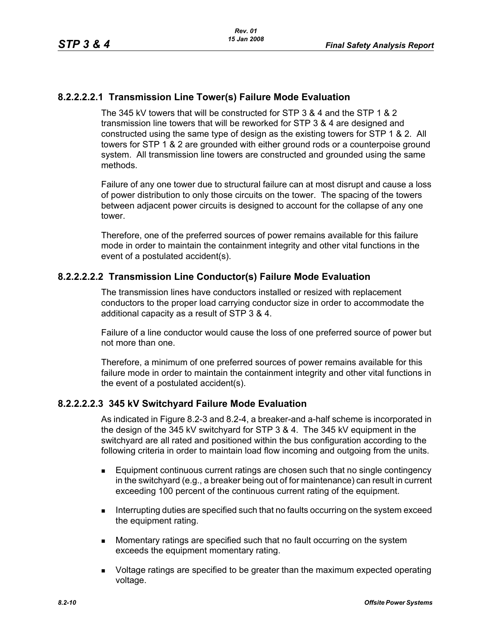# **8.2.2.2.2.1 Transmission Line Tower(s) Failure Mode Evaluation**

The 345 kV towers that will be constructed for STP 3 & 4 and the STP 1 & 2 transmission line towers that will be reworked for STP 3 & 4 are designed and constructed using the same type of design as the existing towers for STP 1 & 2. All towers for STP 1 & 2 are grounded with either ground rods or a counterpoise ground system. All transmission line towers are constructed and grounded using the same methods.

Failure of any one tower due to structural failure can at most disrupt and cause a loss of power distribution to only those circuits on the tower. The spacing of the towers between adjacent power circuits is designed to account for the collapse of any one tower.

Therefore, one of the preferred sources of power remains available for this failure mode in order to maintain the containment integrity and other vital functions in the event of a postulated accident(s).

### **8.2.2.2.2.2 Transmission Line Conductor(s) Failure Mode Evaluation**

The transmission lines have conductors installed or resized with replacement conductors to the proper load carrying conductor size in order to accommodate the additional capacity as a result of STP 3 & 4.

Failure of a line conductor would cause the loss of one preferred source of power but not more than one.

Therefore, a minimum of one preferred sources of power remains available for this failure mode in order to maintain the containment integrity and other vital functions in the event of a postulated accident(s).

### **8.2.2.2.2.3 345 kV Switchyard Failure Mode Evaluation**

As indicated in Figure 8.2-3 and 8.2-4, a breaker-and a-half scheme is incorporated in the design of the 345 kV switchyard for STP 3 & 4. The 345 kV equipment in the switchyard are all rated and positioned within the bus configuration according to the following criteria in order to maintain load flow incoming and outgoing from the units.

- Equipment continuous current ratings are chosen such that no single contingency in the switchyard (e.g., a breaker being out of for maintenance) can result in current exceeding 100 percent of the continuous current rating of the equipment.
- **Interrupting duties are specified such that no faults occurring on the system exceed** the equipment rating.
- **Momentary ratings are specified such that no fault occurring on the system** exceeds the equipment momentary rating.
- **DED** Voltage ratings are specified to be greater than the maximum expected operating voltage.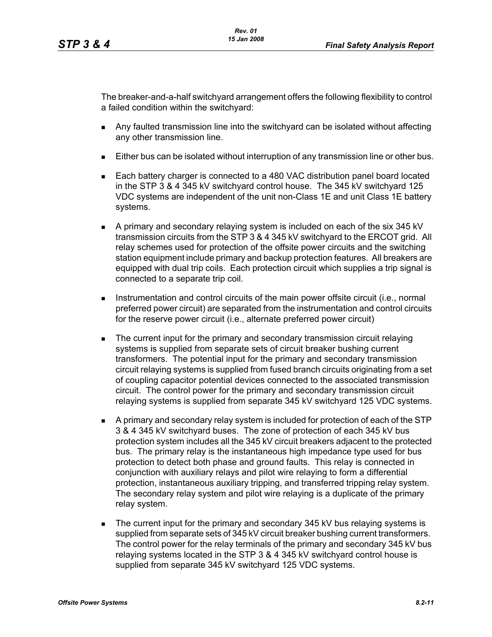The breaker-and-a-half switchyard arrangement offers the following flexibility to control a failed condition within the switchyard:

- Any faulted transmission line into the switchyard can be isolated without affecting any other transmission line.
- Either bus can be isolated without interruption of any transmission line or other bus.
- Each battery charger is connected to a 480 VAC distribution panel board located in the STP 3 & 4 345 kV switchyard control house. The 345 kV switchyard 125 VDC systems are independent of the unit non-Class 1E and unit Class 1E battery systems.
- A primary and secondary relaying system is included on each of the six 345 kV transmission circuits from the STP 3 & 4 345 kV switchyard to the ERCOT grid. All relay schemes used for protection of the offsite power circuits and the switching station equipment include primary and backup protection features. All breakers are equipped with dual trip coils. Each protection circuit which supplies a trip signal is connected to a separate trip coil.
- **Instrumentation and control circuits of the main power offsite circuit (i.e., normal** preferred power circuit) are separated from the instrumentation and control circuits for the reserve power circuit (i.e., alternate preferred power circuit)
- **The current input for the primary and secondary transmission circuit relaying** systems is supplied from separate sets of circuit breaker bushing current transformers. The potential input for the primary and secondary transmission circuit relaying systems is supplied from fused branch circuits originating from a set of coupling capacitor potential devices connected to the associated transmission circuit. The control power for the primary and secondary transmission circuit relaying systems is supplied from separate 345 kV switchyard 125 VDC systems.
- A primary and secondary relay system is included for protection of each of the STP 3 & 4 345 kV switchyard buses. The zone of protection of each 345 kV bus protection system includes all the 345 kV circuit breakers adjacent to the protected bus. The primary relay is the instantaneous high impedance type used for bus protection to detect both phase and ground faults. This relay is connected in conjunction with auxiliary relays and pilot wire relaying to form a differential protection, instantaneous auxiliary tripping, and transferred tripping relay system. The secondary relay system and pilot wire relaying is a duplicate of the primary relay system.
- The current input for the primary and secondary 345 kV bus relaying systems is supplied from separate sets of 345 kV circuit breaker bushing current transformers. The control power for the relay terminals of the primary and secondary 345 kV bus relaying systems located in the STP 3 & 4 345 kV switchyard control house is supplied from separate 345 kV switchyard 125 VDC systems.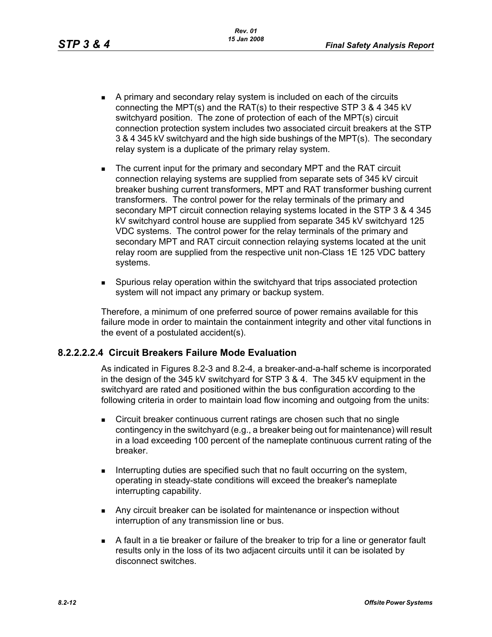- A primary and secondary relay system is included on each of the circuits connecting the MPT(s) and the RAT(s) to their respective STP 3 & 4 345 kV switchyard position. The zone of protection of each of the MPT(s) circuit connection protection system includes two associated circuit breakers at the STP 3 & 4 345 kV switchyard and the high side bushings of the MPT(s). The secondary relay system is a duplicate of the primary relay system.
- The current input for the primary and secondary MPT and the RAT circuit connection relaying systems are supplied from separate sets of 345 kV circuit breaker bushing current transformers, MPT and RAT transformer bushing current transformers. The control power for the relay terminals of the primary and secondary MPT circuit connection relaying systems located in the STP 3 & 4 345 kV switchyard control house are supplied from separate 345 kV switchyard 125 VDC systems. The control power for the relay terminals of the primary and secondary MPT and RAT circuit connection relaying systems located at the unit relay room are supplied from the respective unit non-Class 1E 125 VDC battery systems.
- Spurious relay operation within the switchyard that trips associated protection system will not impact any primary or backup system.

Therefore, a minimum of one preferred source of power remains available for this failure mode in order to maintain the containment integrity and other vital functions in the event of a postulated accident(s).

# **8.2.2.2.2.4 Circuit Breakers Failure Mode Evaluation**

As indicated in Figures 8.2-3 and 8.2-4, a breaker-and-a-half scheme is incorporated in the design of the 345 kV switchyard for STP 3 & 4. The 345 kV equipment in the switchyard are rated and positioned within the bus configuration according to the following criteria in order to maintain load flow incoming and outgoing from the units:

- **EXECT** Circuit breaker continuous current ratings are chosen such that no single contingency in the switchyard (e.g., a breaker being out for maintenance) will result in a load exceeding 100 percent of the nameplate continuous current rating of the breaker.
- Interrupting duties are specified such that no fault occurring on the system, operating in steady-state conditions will exceed the breaker's nameplate interrupting capability.
- **Any circuit breaker can be isolated for maintenance or inspection without** interruption of any transmission line or bus.
- A fault in a tie breaker or failure of the breaker to trip for a line or generator fault results only in the loss of its two adjacent circuits until it can be isolated by disconnect switches.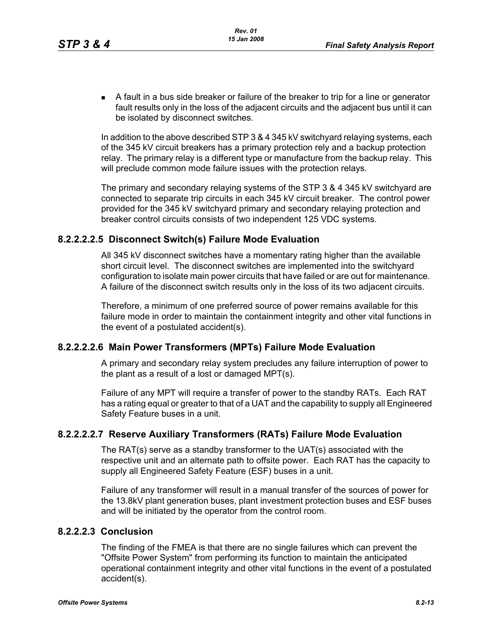A fault in a bus side breaker or failure of the breaker to trip for a line or generator fault results only in the loss of the adjacent circuits and the adjacent bus until it can be isolated by disconnect switches.

In addition to the above described STP 3 & 4 345 kV switchyard relaying systems, each of the 345 kV circuit breakers has a primary protection rely and a backup protection relay. The primary relay is a different type or manufacture from the backup relay. This will preclude common mode failure issues with the protection relays.

The primary and secondary relaying systems of the STP 3 & 4 345 kV switchyard are connected to separate trip circuits in each 345 kV circuit breaker. The control power provided for the 345 kV switchyard primary and secondary relaying protection and breaker control circuits consists of two independent 125 VDC systems.

### **8.2.2.2.2.5 Disconnect Switch(s) Failure Mode Evaluation**

All 345 kV disconnect switches have a momentary rating higher than the available short circuit level. The disconnect switches are implemented into the switchyard configuration to isolate main power circuits that have failed or are out for maintenance. A failure of the disconnect switch results only in the loss of its two adjacent circuits.

Therefore, a minimum of one preferred source of power remains available for this failure mode in order to maintain the containment integrity and other vital functions in the event of a postulated accident(s).

### **8.2.2.2.2.6 Main Power Transformers (MPTs) Failure Mode Evaluation**

A primary and secondary relay system precludes any failure interruption of power to the plant as a result of a lost or damaged MPT(s).

Failure of any MPT will require a transfer of power to the standby RATs. Each RAT has a rating equal or greater to that of a UAT and the capability to supply all Engineered Safety Feature buses in a unit.

# **8.2.2.2.2.7 Reserve Auxiliary Transformers (RATs) Failure Mode Evaluation**

The RAT(s) serve as a standby transformer to the UAT(s) associated with the respective unit and an alternate path to offsite power. Each RAT has the capacity to supply all Engineered Safety Feature (ESF) buses in a unit.

Failure of any transformer will result in a manual transfer of the sources of power for the 13.8kV plant generation buses, plant investment protection buses and ESF buses and will be initiated by the operator from the control room.

# **8.2.2.2.3 Conclusion**

The finding of the FMEA is that there are no single failures which can prevent the "Offsite Power System" from performing its function to maintain the anticipated operational containment integrity and other vital functions in the event of a postulated accident(s).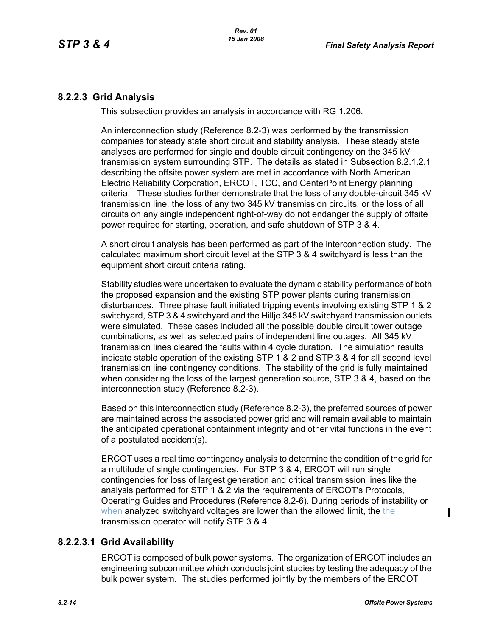### **8.2.2.3 Grid Analysis**

This subsection provides an analysis in accordance with RG 1.206.

An interconnection study (Reference 8.2-3) was performed by the transmission companies for steady state short circuit and stability analysis. These steady state analyses are performed for single and double circuit contingency on the 345 kV transmission system surrounding STP. The details as stated in Subsection 8.2.1.2.1 describing the offsite power system are met in accordance with North American Electric Reliability Corporation, ERCOT, TCC, and CenterPoint Energy planning criteria. These studies further demonstrate that the loss of any double-circuit 345 kV transmission line, the loss of any two 345 kV transmission circuits, or the loss of all circuits on any single independent right-of-way do not endanger the supply of offsite power required for starting, operation, and safe shutdown of STP 3 & 4.

A short circuit analysis has been performed as part of the interconnection study. The calculated maximum short circuit level at the STP 3 & 4 switchyard is less than the equipment short circuit criteria rating.

Stability studies were undertaken to evaluate the dynamic stability performance of both the proposed expansion and the existing STP power plants during transmission disturbances. Three phase fault initiated tripping events involving existing STP 1 & 2 switchyard, STP 3 & 4 switchyard and the Hillje 345 kV switchyard transmission outlets were simulated. These cases included all the possible double circuit tower outage combinations, as well as selected pairs of independent line outages. All 345 kV transmission lines cleared the faults within 4 cycle duration. The simulation results indicate stable operation of the existing STP 1 & 2 and STP 3 & 4 for all second level transmission line contingency conditions. The stability of the grid is fully maintained when considering the loss of the largest generation source, STP 3 & 4, based on the interconnection study (Reference 8.2-3).

Based on this interconnection study (Reference 8.2-3), the preferred sources of power are maintained across the associated power grid and will remain available to maintain the anticipated operational containment integrity and other vital functions in the event of a postulated accident(s).

ERCOT uses a real time contingency analysis to determine the condition of the grid for a multitude of single contingencies. For STP 3 & 4, ERCOT will run single contingencies for loss of largest generation and critical transmission lines like the analysis performed for STP 1 & 2 via the requirements of ERCOT's Protocols, Operating Guides and Procedures (Reference 8.2-6). During periods of instability or when analyzed switchyard voltages are lower than the allowed limit, the thetransmission operator will notify STP 3 & 4.

# **8.2.2.3.1 Grid Availability**

ERCOT is composed of bulk power systems. The organization of ERCOT includes an engineering subcommittee which conducts joint studies by testing the adequacy of the bulk power system. The studies performed jointly by the members of the ERCOT

 $\blacksquare$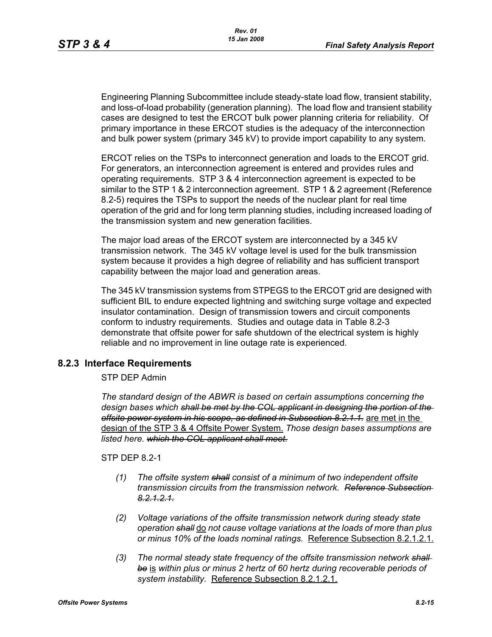Engineering Planning Subcommittee include steady-state load flow, transient stability, and loss-of-load probability (generation planning). The load flow and transient stability cases are designed to test the ERCOT bulk power planning criteria for reliability. Of primary importance in these ERCOT studies is the adequacy of the interconnection and bulk power system (primary 345 kV) to provide import capability to any system.

ERCOT relies on the TSPs to interconnect generation and loads to the ERCOT grid. For generators, an interconnection agreement is entered and provides rules and operating requirements. STP 3 & 4 interconnection agreement is expected to be similar to the STP 1 & 2 interconnection agreement. STP 1 & 2 agreement (Reference 8.2-5) requires the TSPs to support the needs of the nuclear plant for real time operation of the grid and for long term planning studies, including increased loading of the transmission system and new generation facilities.

The major load areas of the ERCOT system are interconnected by a 345 kV transmission network. The 345 kV voltage level is used for the bulk transmission system because it provides a high degree of reliability and has sufficient transport capability between the major load and generation areas.

The 345 kV transmission systems from STPEGS to the ERCOT grid are designed with sufficient BIL to endure expected lightning and switching surge voltage and expected insulator contamination. Design of transmission towers and circuit components conform to industry requirements. Studies and outage data in Table 8.2-3 demonstrate that offsite power for safe shutdown of the electrical system is highly reliable and no improvement in line outage rate is experienced.

# **8.2.3 Interface Requirements**

### STP DEP Admin

*The standard design of the ABWR is based on certain assumptions concerning the design bases which shall be met by the COL applicant in designing the portion of the offsite power system in his scope, as defined in Subsection 8.2.1.1.* are met in the design of the STP 3 & 4 Offsite Power System. *Those design bases assumptions are listed here. which the COL applicant shall meet.* 

STP DFP 8 2-1

- *(1) The offsite system shall consist of a minimum of two independent offsite transmission circuits from the transmission network. Reference Subsection 8.2.1.2.1.*
- *(2) Voltage variations of the offsite transmission network during steady state operation shall* do *not cause voltage variations at the loads of more than plus or minus 10% of the loads nominal ratings.* Reference Subsection 8.2.1.2.1.
- *(3) The normal steady state frequency of the offsite transmission network shall be* is *within plus or minus 2 hertz of 60 hertz during recoverable periods of system instability.* Reference Subsection 8.2.1.2.1.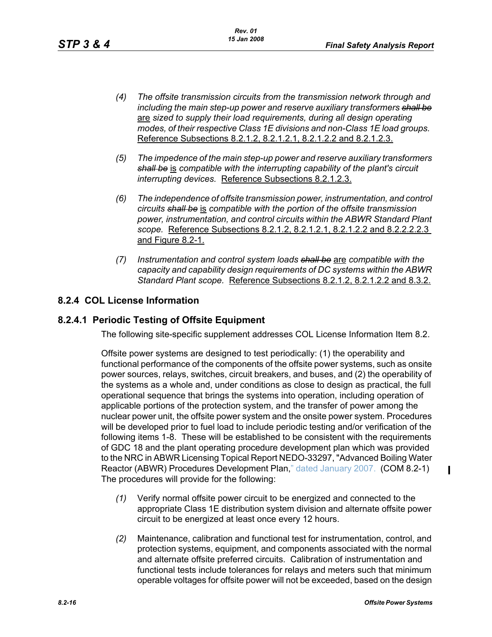- *(4) The offsite transmission circuits from the transmission network through and including the main step-up power and reserve auxiliary transformers shall be* are *sized to supply their load requirements, during all design operating modes, of their respective Class 1E divisions and non-Class 1E load groups.*  Reference Subsections 8.2.1.2, 8.2.1.2.1, 8.2.1.2.2 and 8.2.1.2.3.
- *(5) The impedence of the main step-up power and reserve auxiliary transformers shall be* is *compatible with the interrupting capability of the plant's circuit interrupting devices.* Reference Subsections 8.2.1.2.3.
- *(6) The independence of offsite transmission power, instrumentation, and control circuits shall be* is *compatible with the portion of the offsite transmission power, instrumentation, and control circuits within the ABWR Standard Plant scope.* Reference Subsections 8.2.1.2, 8.2.1.2.1, 8.2.1.2.2 and 8.2.2.2.2.3 and Figure 8.2-1.
- *(7) Instrumentation and control system loads shall be* are *compatible with the capacity and capability design requirements of DC systems within the ABWR Standard Plant scope.* Reference Subsections 8.2.1.2, 8.2.1.2.2 and 8.3.2.

# **8.2.4 COL License Information**

# **8.2.4.1 Periodic Testing of Offsite Equipment**

The following site-specific supplement addresses COL License Information Item 8.2.

Offsite power systems are designed to test periodically: (1) the operability and functional performance of the components of the offsite power systems, such as onsite power sources, relays, switches, circuit breakers, and buses, and (2) the operability of the systems as a whole and, under conditions as close to design as practical, the full operational sequence that brings the systems into operation, including operation of applicable portions of the protection system, and the transfer of power among the nuclear power unit, the offsite power system and the onsite power system. Procedures will be developed prior to fuel load to include periodic testing and/or verification of the following items 1-8. These will be established to be consistent with the requirements of GDC 18 and the plant operating procedure development plan which was provided to the NRC in ABWR Licensing Topical Report NEDO-33297, "Advanced Boiling Water Reactor (ABWR) Procedures Development Plan," dated January 2007. (COM 8.2-1) The procedures will provide for the following:

- *(1)* Verify normal offsite power circuit to be energized and connected to the appropriate Class 1E distribution system division and alternate offsite power circuit to be energized at least once every 12 hours.
- *(2)* Maintenance, calibration and functional test for instrumentation, control, and protection systems, equipment, and components associated with the normal and alternate offsite preferred circuits. Calibration of instrumentation and functional tests include tolerances for relays and meters such that minimum operable voltages for offsite power will not be exceeded, based on the design

П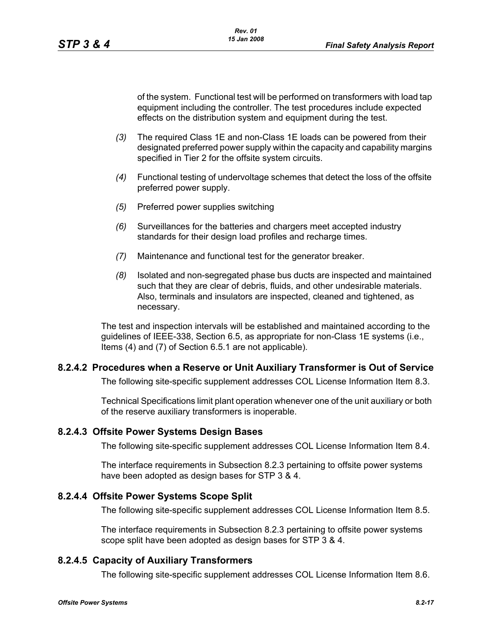of the system. Functional test will be performed on transformers with load tap equipment including the controller. The test procedures include expected effects on the distribution system and equipment during the test.

- *(3)* The required Class 1E and non-Class 1E loads can be powered from their designated preferred power supply within the capacity and capability margins specified in Tier 2 for the offsite system circuits.
- *(4)* Functional testing of undervoltage schemes that detect the loss of the offsite preferred power supply.
- *(5)* Preferred power supplies switching
- *(6)* Surveillances for the batteries and chargers meet accepted industry standards for their design load profiles and recharge times.
- *(7)* Maintenance and functional test for the generator breaker.
- *(8)* Isolated and non-segregated phase bus ducts are inspected and maintained such that they are clear of debris, fluids, and other undesirable materials. Also, terminals and insulators are inspected, cleaned and tightened, as necessary.

The test and inspection intervals will be established and maintained according to the guidelines of IEEE-338, Section 6.5, as appropriate for non-Class 1E systems (i.e., Items (4) and (7) of Section 6.5.1 are not applicable).

### **8.2.4.2 Procedures when a Reserve or Unit Auxiliary Transformer is Out of Service**

The following site-specific supplement addresses COL License Information Item 8.3.

Technical Specifications limit plant operation whenever one of the unit auxiliary or both of the reserve auxiliary transformers is inoperable.

### **8.2.4.3 Offsite Power Systems Design Bases**

The following site-specific supplement addresses COL License Information Item 8.4.

The interface requirements in Subsection 8.2.3 pertaining to offsite power systems have been adopted as design bases for STP 3 & 4.

### **8.2.4.4 Offsite Power Systems Scope Split**

The following site-specific supplement addresses COL License Information Item 8.5.

The interface requirements in Subsection 8.2.3 pertaining to offsite power systems scope split have been adopted as design bases for STP 3 & 4.

# **8.2.4.5 Capacity of Auxiliary Transformers**

The following site-specific supplement addresses COL License Information Item 8.6.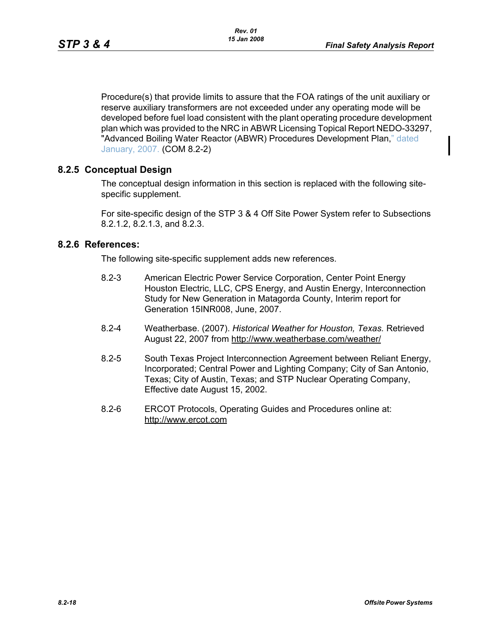Procedure(s) that provide limits to assure that the FOA ratings of the unit auxiliary or reserve auxiliary transformers are not exceeded under any operating mode will be developed before fuel load consistent with the plant operating procedure development plan which was provided to the NRC in ABWR Licensing Topical Report NEDO-33297, "Advanced Boiling Water Reactor (ABWR) Procedures Development Plan," dated January, 2007. (COM 8.2-2)

### **8.2.5 Conceptual Design**

The conceptual design information in this section is replaced with the following sitespecific supplement.

For site-specific design of the STP 3 & 4 Off Site Power System refer to Subsections 8.2.1.2, 8.2.1.3, and 8.2.3.

### **8.2.6 References:**

The following site-specific supplement adds new references.

- 8.2-3 American Electric Power Service Corporation, Center Point Energy Houston Electric, LLC, CPS Energy, and Austin Energy, Interconnection Study for New Generation in Matagorda County, Interim report for Generation 15INR008, June, 2007.
- 8.2-4 Weatherbase. (2007). *Historical Weather for Houston, Texas.* Retrieved August 22, 2007 from http://www.weatherbase.com/weather/
- 8.2-5 South Texas Project Interconnection Agreement between Reliant Energy, Incorporated; Central Power and Lighting Company; City of San Antonio, Texas; City of Austin, Texas; and STP Nuclear Operating Company, Effective date August 15, 2002.
- 8.2-6 ERCOT Protocols, Operating Guides and Procedures online at: http://www.ercot.com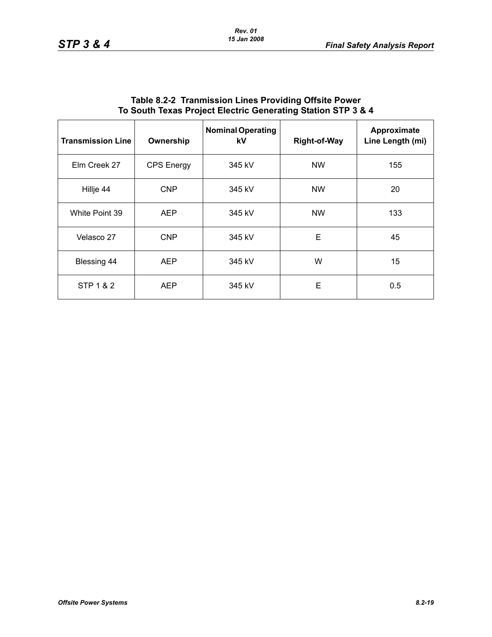| <b>Transmission Line</b> | Ownership         | <b>Nominal Operating</b><br>kV | <b>Right-of-Way</b> | Approximate<br>Line Length (mi) |
|--------------------------|-------------------|--------------------------------|---------------------|---------------------------------|
| Elm Creek 27             | <b>CPS</b> Energy | 345 kV                         | <b>NW</b>           | 155                             |
| Hillje 44                | <b>CNP</b>        | 345 kV                         | <b>NW</b>           | 20                              |
| White Point 39           | <b>AEP</b>        | 345 kV                         | <b>NW</b>           | 133                             |
| Velasco 27               | <b>CNP</b>        | 345 kV                         | E                   | 45                              |
| Blessing 44              | <b>AEP</b>        | 345 kV                         | W                   | 15                              |
| STP 1 & 2                | <b>AEP</b>        | 345 kV                         | E                   | 0.5                             |

### **Table 8.2-2 Tranmission Lines Providing Offsite Power To South Texas Project Electric Generating Station STP 3 & 4**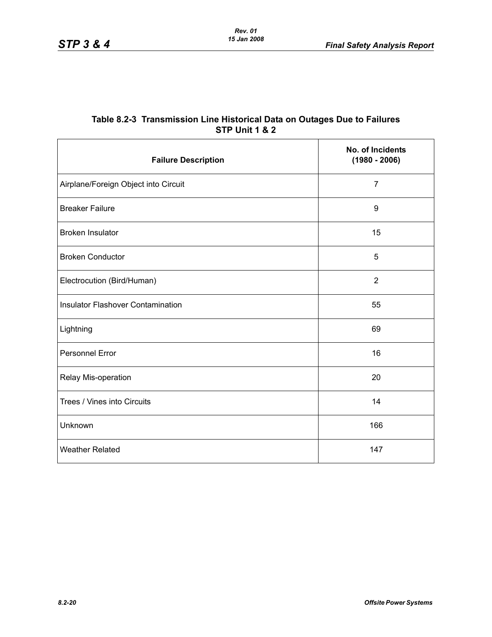| Table 8.2-3  Transmission Line Historical Data on Outages Due to Failures |
|---------------------------------------------------------------------------|
| STP Unit 1 & 2                                                            |

| <b>Failure Description</b>               | No. of Incidents<br>$(1980 - 2006)$ |
|------------------------------------------|-------------------------------------|
| Airplane/Foreign Object into Circuit     | $\overline{7}$                      |
| <b>Breaker Failure</b>                   | $\boldsymbol{9}$                    |
| <b>Broken Insulator</b>                  | 15                                  |
| <b>Broken Conductor</b>                  | 5                                   |
| Electrocution (Bird/Human)               | $\overline{2}$                      |
| <b>Insulator Flashover Contamination</b> | 55                                  |
| Lightning                                | 69                                  |
| <b>Personnel Error</b>                   | 16                                  |
| Relay Mis-operation                      | 20                                  |
| Trees / Vines into Circuits              | 14                                  |
| Unknown                                  | 166                                 |
| <b>Weather Related</b>                   | 147                                 |